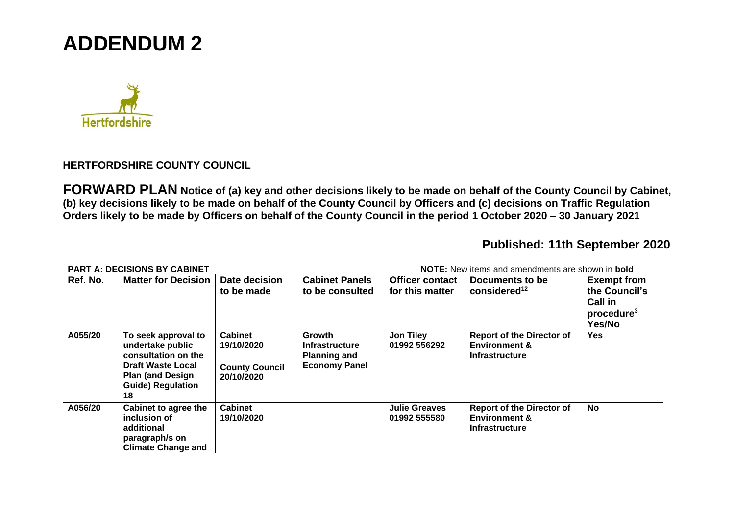## **ADDENDUM 2**



## **HERTFORDSHIRE COUNTY COUNCIL**

**FORWARD PLAN Notice of (a) key and other decisions likely to be made on behalf of the County Council by Cabinet, (b) key decisions likely to be made on behalf of the County Council by Officers and (c) decisions on Traffic Regulation Orders likely to be made by Officers on behalf of the County Council in the period 1 October 2020 – 30 January 2021** 

## **Published: 11th September 2020**

| NOTE: New items and amendments are shown in bold<br><b>PART A: DECISIONS BY CABINET</b> |                                                                                                                                                          |                                                                     |                                                                                |                                      |                                                                                       |                                                                     |  |  |
|-----------------------------------------------------------------------------------------|----------------------------------------------------------------------------------------------------------------------------------------------------------|---------------------------------------------------------------------|--------------------------------------------------------------------------------|--------------------------------------|---------------------------------------------------------------------------------------|---------------------------------------------------------------------|--|--|
| Ref. No.                                                                                | <b>Matter for Decision</b>                                                                                                                               | Date decision                                                       | <b>Cabinet Panels</b>                                                          | <b>Officer contact</b>               | Documents to be                                                                       | <b>Exempt from</b>                                                  |  |  |
|                                                                                         |                                                                                                                                                          | to be made                                                          | to be consulted                                                                | for this matter                      | considered <sup>12</sup>                                                              | the Council's<br><b>Call in</b><br>procedure <sup>3</sup><br>Yes/No |  |  |
| A055/20                                                                                 | To seek approval to<br>undertake public<br>consultation on the<br><b>Draft Waste Local</b><br><b>Plan (and Design)</b><br><b>Guide) Regulation</b><br>18 | <b>Cabinet</b><br>19/10/2020<br><b>County Council</b><br>20/10/2020 | <b>Growth</b><br>Infrastructure<br><b>Planning and</b><br><b>Economy Panel</b> | <b>Jon Tiley</b><br>01992 556292     | <b>Report of the Director of</b><br><b>Environment &amp;</b><br><b>Infrastructure</b> | <b>Yes</b>                                                          |  |  |
| A056/20                                                                                 | Cabinet to agree the<br>inclusion of<br>additional<br>paragraph/s on<br><b>Climate Change and</b>                                                        | <b>Cabinet</b><br>19/10/2020                                        |                                                                                | <b>Julie Greaves</b><br>01992 555580 | <b>Report of the Director of</b><br><b>Environment &amp;</b><br><b>Infrastructure</b> | <b>No</b>                                                           |  |  |